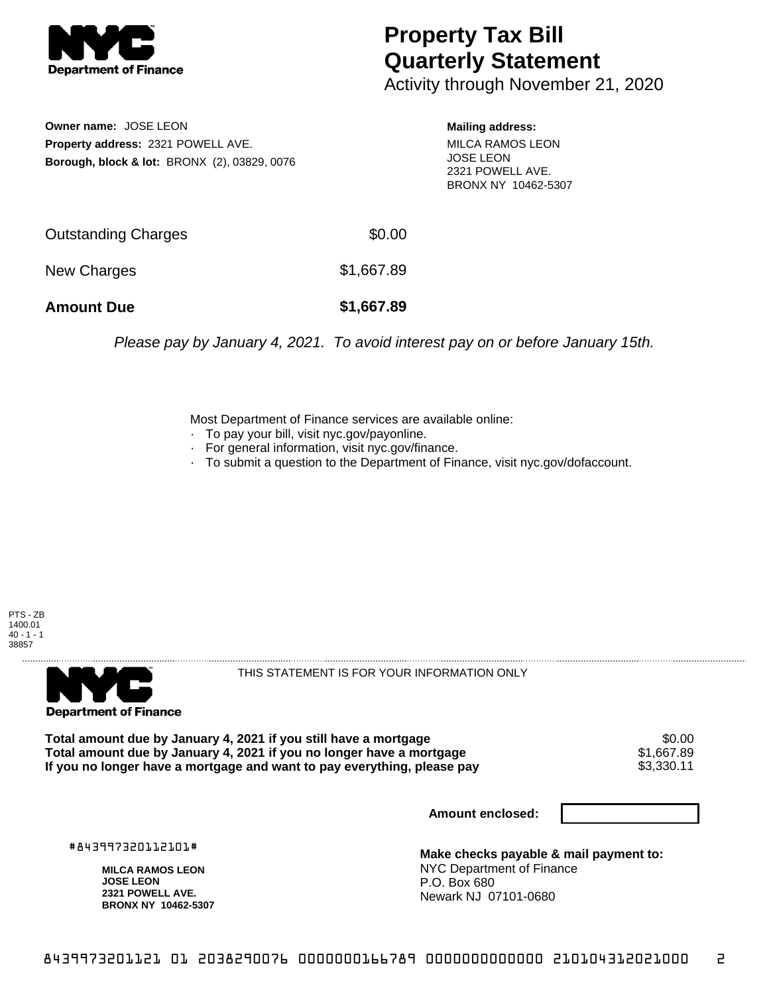

## **Property Tax Bill Quarterly Statement**

Activity through November 21, 2020

**Owner name:** JOSE LEON **Property address:** 2321 POWELL AVE. **Borough, block & lot:** BRONX (2), 03829, 0076

## **Mailing address:**

MILCA RAMOS LEON JOSE LEON 2321 POWELL AVE. BRONX NY 10462-5307

| <b>Amount Due</b>   | \$1,667.89 |
|---------------------|------------|
| New Charges         | \$1,667.89 |
| Outstanding Charges | \$0.00     |

Please pay by January 4, 2021. To avoid interest pay on or before January 15th.

Most Department of Finance services are available online:

- · To pay your bill, visit nyc.gov/payonline.
- For general information, visit nyc.gov/finance.
- · To submit a question to the Department of Finance, visit nyc.gov/dofaccount.





THIS STATEMENT IS FOR YOUR INFORMATION ONLY

Total amount due by January 4, 2021 if you still have a mortgage \$0.00<br>Total amount due by January 4, 2021 if you no longer have a mortgage \$1.667.89 **Total amount due by January 4, 2021 if you no longer have a mortgage**  $$1,667.89$ **<br>If you no longer have a mortgage and want to pay everything, please pay**  $$3,330.11$ If you no longer have a mortgage and want to pay everything, please pay

**Amount enclosed:**

#843997320112101#

**MILCA RAMOS LEON JOSE LEON 2321 POWELL AVE. BRONX NY 10462-5307**

**Make checks payable & mail payment to:** NYC Department of Finance P.O. Box 680 Newark NJ 07101-0680